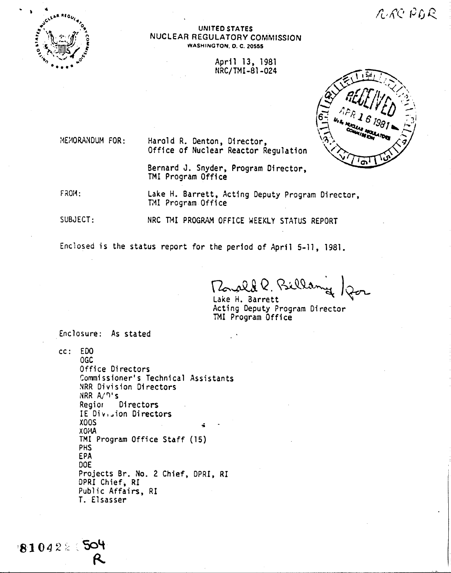

#### UNITED STATES NUCLEAR REGULATORY COMMISSION WASHINGTON, D. C. 20555

April 13, 1981 NRC/TMI-81-024



MEMORANDUM FOR:

Harold R. Denton, Director, Office of Nuclear Reactor Regulation

Bernard J. Snyder, Program Director, TMI Program Office

FROM: Lake H. Barrett, Acting Deputy Program Director, TMI Program Office

SUBJECT: NRC TMI PROGRAM OFFICE WEEKLY STATUS REPORT

Enclosed is the status report for the period of April 5-11, 1981.

Porald P. Billa

Lake H. Barrett Acting Deputy Program Director TMI Program Office

Enclosure: As stated

cc: EDO **OGC** 

Office Directors Commissioner's Technical Assistants NRR Division Directors NRR A/ <sup>n</sup>'s Regior Directors IE Division Directors XOOS  $A<sub>i</sub>0x$ TMI Program Office Staff (15) **PHS** EPA DOE Projects Br. No. 2 Chief, DPRI, RI DPRI Chief, RI Public Affairs, RI T. Elsasser

 $81042$ 504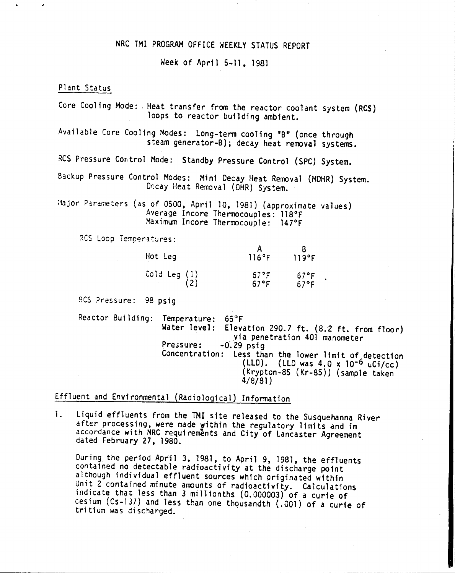## NRC TMI PROGRAM OFFICE WEEKLY STATUS REPORT

Week of April 5-11. 1981

### Plant Status

Core Cooling Mode: , Heat transfer from the reactor coolant system (RCS) loops to reactor building ambient. Available Core Cooling Modes: Long-term cooling "B" (once through steam generator-B); decay heat removal systems. RCS Pressure Control Mode: Standby Pressure Control (SPC) System. Backup Pressure Control Modes: Min; Decay Heat Removal (MOHR) System. Decay Heat Removal (DHR) System. Major Parameters (as of 0500, April 10, 1981) (approximate values) Average Incore Thermocouples: 118°F Maximum Incore Thermocouple: 147°F RCS Loop Temperatures: A B Hot Leg <sup>116</sup>of 119°F Cold Leg (1) 57°F 67°F<br>(2) 67°F 67°F  $67°F$ RCS Pressure: 98 psig Reactor Building: Temperature: 65°F Water level: Elevation 290.7 ft. (8.2 ft. from floor) via penetration 401 manometer<br>-0.29 psig Pressure: -0.29 psig Concentration: Less than the lower limit of detection  $(LLD)$ . (LLD was  $4.0 \times 10^{-6}$  uCi/cc) (Krypton-8S (Kr-8S)) (sample taken 4/8/81)

## Effluent and Environmental (Radiological) Information

1. Liquid effluents from the TMI site released to the Susquehanna River after processing, were made within the regulatory limits and in accordance with NRC requirements and City of Lancaster Agreement dated February 27. 1980.

During the period April 3, 1981, to April 9, 1981, the effluents contained no detectable radioactivity at the discharge point although individual effluent sources which originated within Unit 2 contained minute amounts of radioactivity. Calculations indicate that less than 3 millionths (0.000003) of a curie of cesium (Cs-137) and less than one thousandth (.001) of a curie of tritium was discharged. '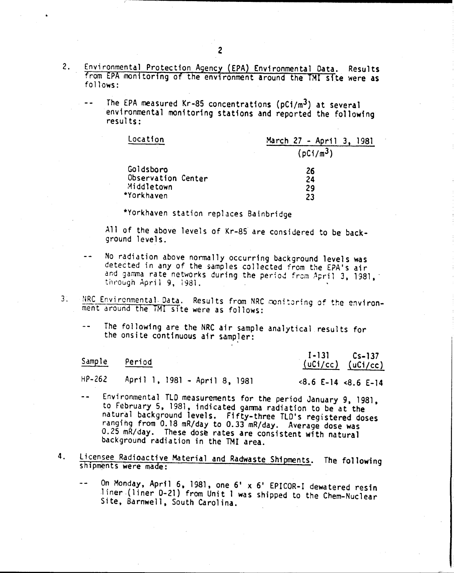- 2. Environmental Protection Agency (EPA) Environmental Data. Results from EPA monitoring of the environment around the TMI site were as follows:
	- The EPA measured Kr-85 concentrations (pCi/m3) at several environmental monitoring stations and reported the following results:

| Location           | March $27 - April 3$ .<br>1981 |
|--------------------|--------------------------------|
|                    | $(pC1/m^3)$                    |
| Goldsboro          | 26                             |
| Observation Center | 24                             |
| Middletown         | 29                             |
| *Yorkhaven         | 23                             |

\*Yorkhaven station replaces Bainbridge

All of the above levels of Kr-85 are considered to be background levels.

- No radiation above normally occurring background levels was detected in any of the samples collected from the EPA's air and gamma rate networks during the period from April 3, 1981, through April 9, 1981.
- 3. NRC Environmental Data. Results from NRC monitoring of the environment around the TMI site were as follows:
	- The following are the NRC air sample analytical results for  $$ the onsite continuous air sampler:

| Sample Period |                               | $I-131$ Cs-137<br>(uCi/cc) (uCi/cc) |
|---------------|-------------------------------|-------------------------------------|
| $HP-262$      | April 1, 1981 - April 8, 1981 | $<8.6$ E-14 $<8.6$ E-14             |

- Environmental TLO measurements for the period January 9, 1981,  $\sim$   $\sim$ to February 5, 1981, indicated gamma radiation to be at the natural background levels. Fifty-three TLO's registered doses ranging from 0.18 mR/day to 0.33 mR/day. Average dose was  $0.25$   $m\bar{R}/day$ . These dose rates are consistent with natural background radiation in the TMI area.
- 4. Licensee Radioactive Material and Radwaste Shipments. The following shipments were made:
	- On Monday, April 6, 1981, one 6' x 6' EPICOR-I dewatered resin liner.(liner 0-21) from Unit 1 was shipped to the Chem-Nuclear Site, Barnwell, South Carolina.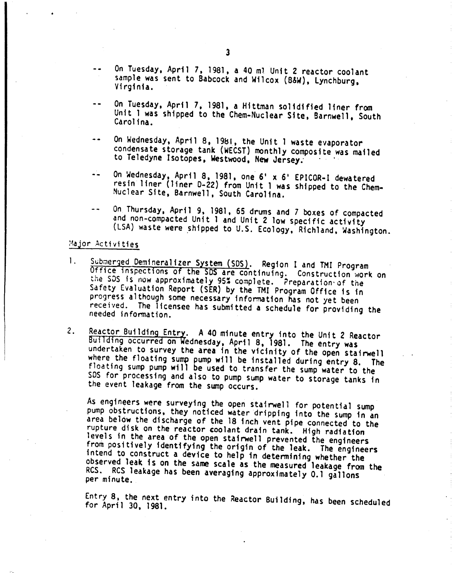- On Tuesday, April 7, 1981, a 40 ml. Unit 2 reactor coolant sample was sent to Babcock and Wilcox (B&W), Lynchburg, Virginia.
- On Tuesday, April 7, 1981, a Hittman solidified liner from Unit 1 was shipped to the Chem-Nuclear Site, Barnwell, South Carolina.
- On Wednesday, April 8, 1981, the Unit 1 waste evaporator  $$ condensate storage tank (WECST) monthly composite was mailed to Teledyne Isotopes, Westwood, New Jersey.
- ÷-On Wednesday, April 8, 1981, one 6' x 6' EPICOR-I dewatered resin liner (liner 0-22) from Unit 1 was shipped to the Chem-Nuclear Site, Barnwell, South Carolina.
- On Thursday, April 9, 1981, 65 drums and 7 boxes of compacted and non-compacted Unit 1 and Unit 2 low specific activity (LSA) waste were shipped to U.S. Ecology, Richland, Washington.

## Major Activities

 $\sim$ 

- 1. Submerged Demineralizer System (SDS). Region I and TMI Program Office inspections of the SDS are continuing. Construction work on the SOS is now approximately 95% complete. Preparation'of the Safety Evaluation Report (SER) by the TMI Program Office is in progress although some necessary information has not yet been received. The licensee has submitted a schedule for providing the needed information.
- 2. Reactor Building Entry. A 40 minute entry into the Unit 2 Reactor Building occurred on Wednesday, April 8, 1981. The entry was undertaken to survey the area in the viCinity of the open stairwell where the floating sump pump will be installed during entry 8. The floating sump pump will be used to transfer the sump water to the 50S for processing and also to pump sump water to storage tanks in the event leakage from the sump Occurs.

As engineers were surveying the open stafrwell for potential sump pump obstructions. they noticed water dripping into the sump in an area below the discharge of the 18 inch vent pipe connected to the rupture disk on the reactor coolant drain tank. High radiation levels in the area of the open stairwell prevented the engineers from positively identifying the origin of the leak. The engineers intend to construct a device to help in determining whether the observed leak is on the same scale as the measured leakage from the RCS. RCS leakage has been averaging approximately 0.1 gallons per minute.

Entry 8, the next entry into the Reactor Building, has been scheduled for April 30, 1981.